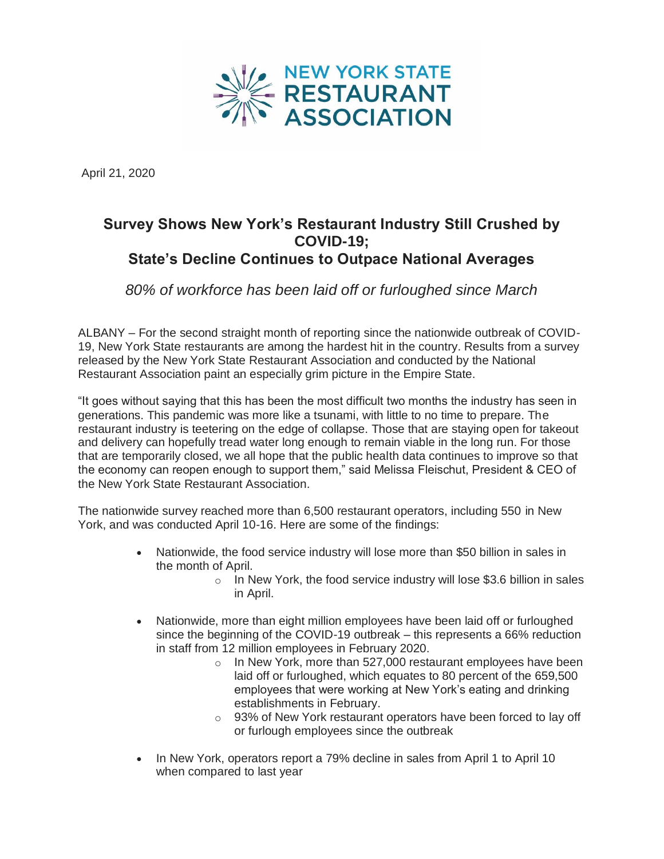

April 21, 2020

## **Survey Shows New York's Restaurant Industry Still Crushed by COVID-19; State's Decline Continues to Outpace National Averages**

*80% of workforce has been laid off or furloughed since March*

ALBANY – For the second straight month of reporting since the nationwide outbreak of COVID-19, New York State restaurants are among the hardest hit in the country. Results from a survey released by the New York State Restaurant Association and conducted by the National Restaurant Association paint an especially grim picture in the Empire State.

"It goes without saying that this has been the most difficult two months the industry has seen in generations. This pandemic was more like a tsunami, with little to no time to prepare. The restaurant industry is teetering on the edge of collapse. Those that are staying open for takeout and delivery can hopefully tread water long enough to remain viable in the long run. For those that are temporarily closed, we all hope that the public health data continues to improve so that the economy can reopen enough to support them," said Melissa Fleischut, President & CEO of the New York State Restaurant Association.

The nationwide survey reached more than 6,500 restaurant operators, including 550 in New York, and was conducted April 10-16. Here are some of the findings:

- Nationwide, the food service industry will lose more than \$50 billion in sales in the month of April.
	- o In New York, the food service industry will lose \$3.6 billion in sales in April.
- Nationwide, more than eight million employees have been laid off or furloughed since the beginning of the COVID-19 outbreak – this represents a 66% reduction in staff from 12 million employees in February 2020.
	- o In New York, more than 527,000 restaurant employees have been laid off or furloughed, which equates to 80 percent of the 659,500 employees that were working at New York's eating and drinking establishments in February.
	- $\circ$  93% of New York restaurant operators have been forced to lay off or furlough employees since the outbreak
- In New York, operators report a 79% decline in sales from April 1 to April 10 when compared to last year